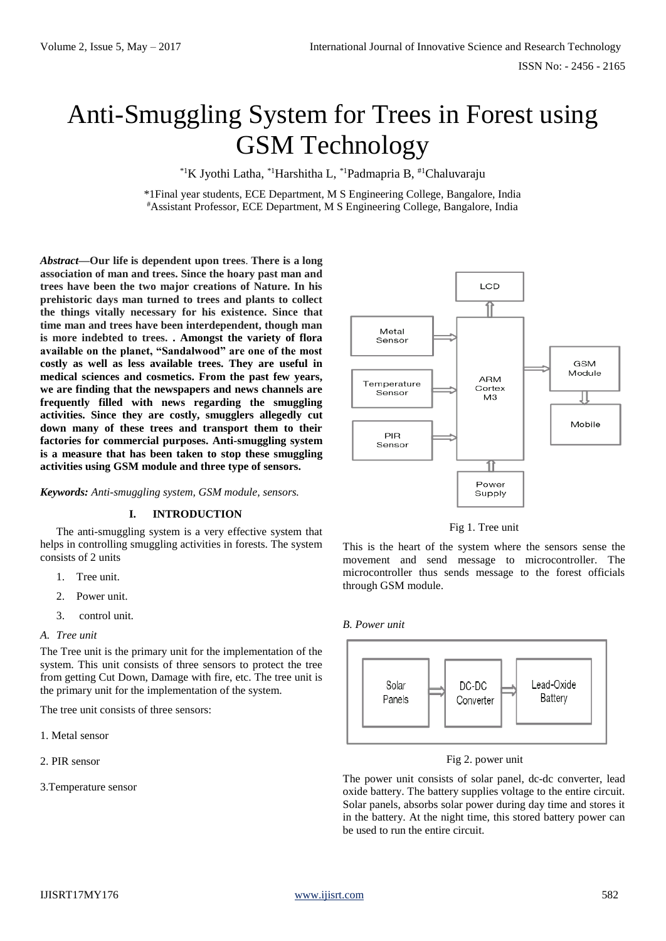# Anti-Smuggling System for Trees in Forest using GSM Technology

\*1K Jyothi Latha, \*1Harshitha L, \*1Padmapria B, #1Chaluvaraju

\*1Final year students, ECE Department, M S Engineering College, Bangalore, India #Assistant Professor, ECE Department, M S Engineering College, Bangalore, India

*Abstract***—Our life is dependent upon trees**. **There is a long association of man and trees. Since the hoary past man and trees have been the two major creations of Nature. In his prehistoric days man turned to trees and plants to collect the things vitally necessary for his existence. Since that time man and trees have been interdependent, though man is more indebted to trees. . Amongst the variety of flora available on the planet, "Sandalwood" are one of the most costly as well as less available trees. They are useful in medical sciences and cosmetics. From the past few years, we are finding that the newspapers and news channels are frequently filled with news regarding the smuggling activities. Since they are costly, smugglers allegedly cut down many of these trees and transport them to their factories for commercial purposes. Anti-smuggling system is a measure that has been taken to stop these smuggling activities using GSM module and three type of sensors.**

*Keywords: Anti-smuggling system, GSM module, sensors.*

# **I. INTRODUCTION**

The anti-smuggling system is a very effective system that helps in controlling smuggling activities in forests. The system consists of 2 units

- 1. Tree unit.
- 2. Power unit.
- 3. control unit.
- *A. Tree unit*

The Tree unit is the primary unit for the implementation of the system. This unit consists of three sensors to protect the tree from getting Cut Down, Damage with fire, etc. The tree unit is the primary unit for the implementation of the system.

The tree unit consists of three sensors:

- 1. Metal sensor
- 2. PIR sensor

3.Temperature sensor





This is the heart of the system where the sensors sense the movement and send message to microcontroller. The microcontroller thus sends message to the forest officials through GSM module.

# *B. Power unit*



#### Fig 2. power unit

The power unit consists of solar panel, dc-dc converter, lead oxide battery. The battery supplies voltage to the entire circuit. Solar panels, absorbs solar power during day time and stores it in the battery. At the night time, this stored battery power can be used to run the entire circuit.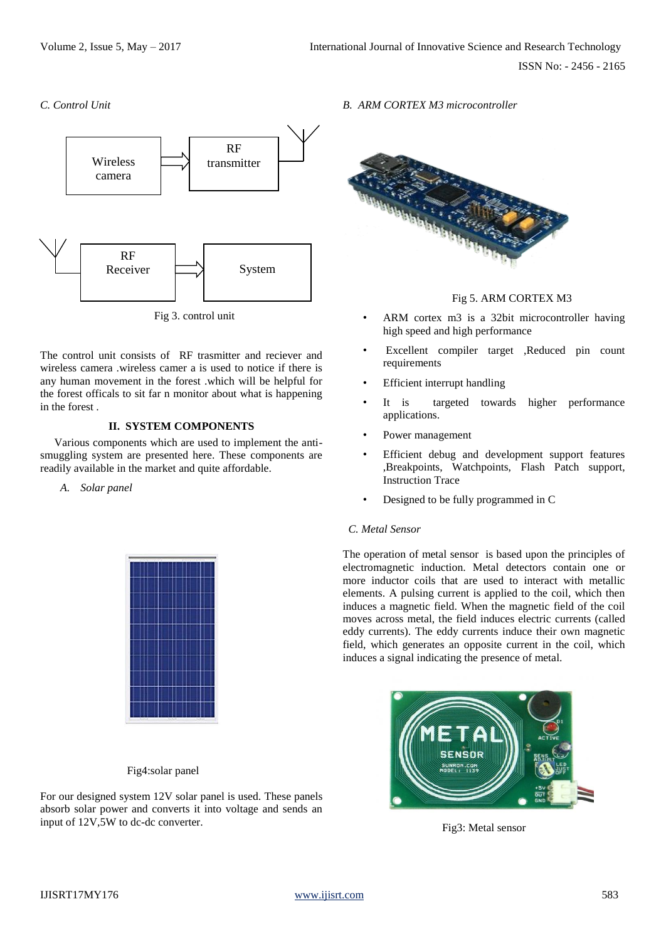*C. Control Unit*



Fig 3. control unit

The control unit consists of RF trasmitter and reciever and wireless camera .wireless camer a is used to notice if there is any human movement in the forest .which will be helpful for the forest officals to sit far n monitor about what is happening in the forest .

# **II. SYSTEM COMPONENTS**

 Various components which are used to implement the antismuggling system are presented here. These components are readily available in the market and quite affordable.

*A. Solar panel*



Fig4:solar panel

For our designed system 12V solar panel is used*.* These panels absorb solar power and converts it into voltage and sends an input of 12V,5W to dc-dc converter.

*B. ARM CORTEX M3 microcontroller*



Fig 5. ARM CORTEX M3

- ARM cortex m3 is a 32bit microcontroller having high speed and high performance
- Excellent compiler target ,Reduced pin count requirements
- **Efficient interrupt handling**
- It is targeted towards higher performance applications.
- Power management
- Efficient debug and development support features ,Breakpoints, Watchpoints, Flash Patch support, Instruction Trace
- Designed to be fully programmed in C

# *C. Metal Sensor*

The operation of metal sensor is based upon the principles of electromagnetic induction. Metal detectors contain one or more inductor coils that are used to interact with metallic elements. A pulsing current is applied to the coil, which then induces a magnetic field. When the magnetic field of the coil moves across metal, the field induces electric currents (called eddy currents). The eddy currents induce their own magnetic field, which generates an opposite current in the coil, which induces a signal indicating the presence of metal.



Fig3: Metal sensor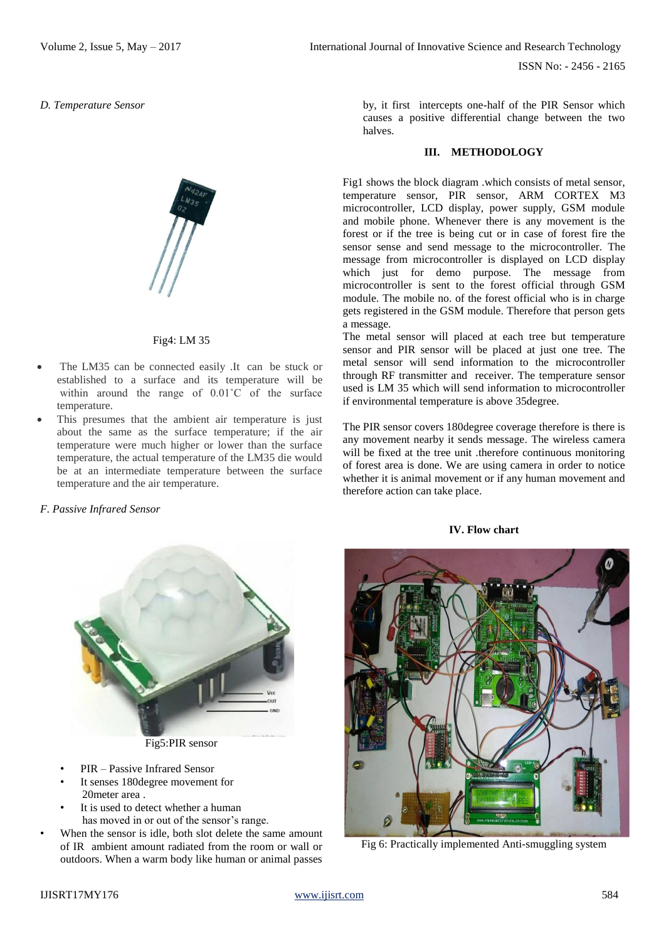*D. Temperature Sensor*

# Fig4: LM 35

- The LM35 can be connected easily .It can be stuck or established to a surface and its temperature will be within around the range of  $0.01^{\circ}$ C of the surface temperature.
- This presumes that the ambient air temperature is just about the same as the surface temperature; if the air temperature were much higher or lower than the surface temperature, the actual temperature of the LM35 die would be at an intermediate temperature between the surface temperature and the air temperature.

# *F. Passive Infrared Sensor*



Fig5:PIR sensor

- PIR Passive Infrared Sensor
- It senses 180 degree movement for 20meter area .
- It is used to detect whether a human has moved in or out of the sensor's range.
- When the sensor is idle, both slot delete the same amount of IR ambient amount radiated from the room or wall or outdoors. When a warm body like human or animal passes

by, it first intercepts one-half of the PIR Sensor which causes a positive differential change between the two halves.

### **III. METHODOLOGY**

Fig1 shows the block diagram .which consists of metal sensor, temperature sensor, PIR sensor, ARM CORTEX M3 microcontroller, LCD display, power supply, GSM module and mobile phone. Whenever there is any movement is the forest or if the tree is being cut or in case of forest fire the sensor sense and send message to the microcontroller. The message from microcontroller is displayed on LCD display which just for demo purpose. The message from microcontroller is sent to the forest official through GSM module. The mobile no. of the forest official who is in charge gets registered in the GSM module. Therefore that person gets a message.

The metal sensor will placed at each tree but temperature sensor and PIR sensor will be placed at just one tree. The metal sensor will send information to the microcontroller through RF transmitter and receiver. The temperature sensor used is LM 35 which will send information to microcontroller if environmental temperature is above 35degree.

The PIR sensor covers 180degree coverage therefore is there is any movement nearby it sends message. The wireless camera will be fixed at the tree unit .therefore continuous monitoring of forest area is done. We are using camera in order to notice whether it is animal movement or if any human movement and therefore action can take place.

#### **IV. Flow chart**



Fig 6: Practically implemented Anti-smuggling system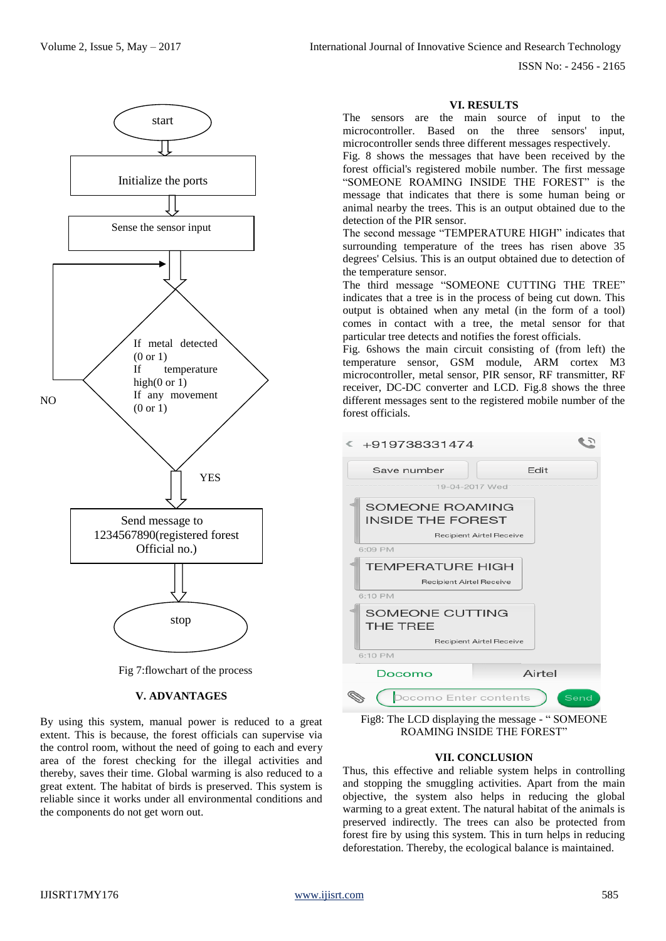Volume 2, Issue 5, May – 2017 **International Journal of Innovative Science and Research Technology** 

ISSN No: - 2456 - 2165



Fig 7:flowchart of the process

#### **V. ADVANTAGES**

By using this system, manual power is reduced to a great extent. This is because, the forest officials can supervise via the control room, without the need of going to each and every area of the forest checking for the illegal activities and thereby, saves their time. Global warming is also reduced to a great extent. The habitat of birds is preserved. This system is reliable since it works under all environmental conditions and the components do not get worn out.

### **VI. RESULTS**

The sensors are the main source of input to the microcontroller. Based on the three sensors' input, microcontroller sends three different messages respectively.

Fig. 8 shows the messages that have been received by the forest official's registered mobile number. The first message "SOMEONE ROAMING INSIDE THE FOREST" is the message that indicates that there is some human being or animal nearby the trees. This is an output obtained due to the detection of the PIR sensor.

The second message "TEMPERATURE HIGH" indicates that surrounding temperature of the trees has risen above 35 degrees' Celsius. This is an output obtained due to detection of the temperature sensor.

The third message "SOMEONE CUTTING THE TREE" indicates that a tree is in the process of being cut down. This output is obtained when any metal (in the form of a tool) comes in contact with a tree, the metal sensor for that particular tree detects and notifies the forest officials.

Fig. 6shows the main circuit consisting of (from left) the temperature sensor, GSM module, ARM cortex M3 microcontroller, metal sensor, PIR sensor, RF transmitter, RF receiver, DC-DC converter and LCD. Fig.8 shows the three different messages sent to the registered mobile number of the forest officials.



Fig8: The LCD displaying the message - " SOMEONE ROAMING INSIDE THE FOREST"

#### **VII. CONCLUSION**

Thus, this effective and reliable system helps in controlling and stopping the smuggling activities. Apart from the main objective, the system also helps in reducing the global warming to a great extent. The natural habitat of the animals is preserved indirectly. The trees can also be protected from forest fire by using this system. This in turn helps in reducing deforestation. Thereby, the ecological balance is maintained.